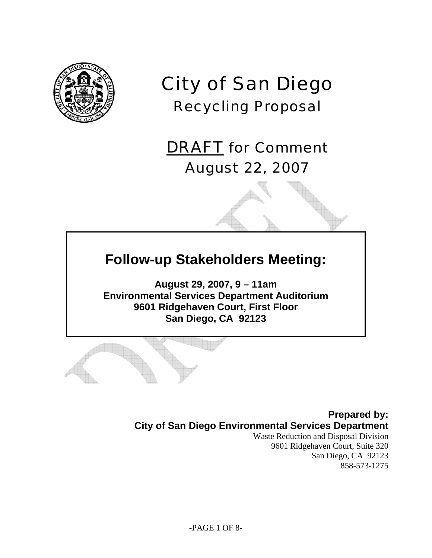

# City of San Diego Recycling Proposal

DRAFT for Comment August 22, 2007

## **Follow-up Stakeholders Meeting:**

**August 29, 2007, 9 – 11am Environmental Services Department Auditorium 9601 Ridgehaven Court, First Floor San Diego, CA 92123**

> **Prepared by: City of San Diego Environmental Services Department**

Waste Reduction and Disposal Division 9601 Ridgehaven Court, Suite 320 San Diego, CA 92123 858-573-1275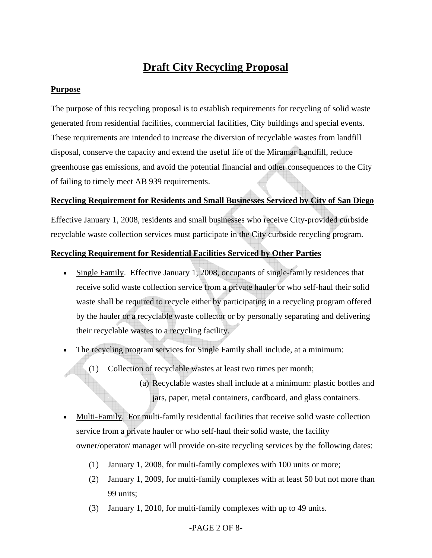### **Draft City Recycling Proposal**

#### **Purpose**

The purpose of this recycling proposal is to establish requirements for recycling of solid waste generated from residential facilities, commercial facilities, City buildings and special events. These requirements are intended to increase the diversion of recyclable wastes from landfill disposal, conserve the capacity and extend the useful life of the Miramar Landfill, reduce greenhouse gas emissions, and avoid the potential financial and other consequences to the City of failing to timely meet AB 939 requirements.

#### **Recycling Requirement for Residents and Small Businesses Serviced by City of San Diego**

Effective January 1, 2008, residents and small businesses who receive City-provided curbside recyclable waste collection services must participate in the City curbside recycling program.

#### **Recycling Requirement for Residential Facilities Serviced by Other Parties**

- Single Family. Effective January 1, 2008, occupants of single-family residences that receive solid waste collection service from a private hauler or who self-haul their solid waste shall be required to recycle either by participating in a recycling program offered by the hauler or a recyclable waste collector or by personally separating and delivering their recyclable wastes to a recycling facility.
- The recycling program services for Single Family shall include, at a minimum:
	- (1) Collection of recyclable wastes at least two times per month;
		- (a) Recyclable wastes shall include at a minimum: plastic bottles and jars, paper, metal containers, cardboard, and glass containers.
- Multi-Family. For multi-family residential facilities that receive solid waste collection service from a private hauler or who self-haul their solid waste, the facility owner/operator/ manager will provide on-site recycling services by the following dates:
	- (1) January 1, 2008, for multi-family complexes with 100 units or more;
	- (2) January 1, 2009, for multi-family complexes with at least 50 but not more than 99 units;
	- (3) January 1, 2010, for multi-family complexes with up to 49 units.

#### -PAGE 2 OF 8-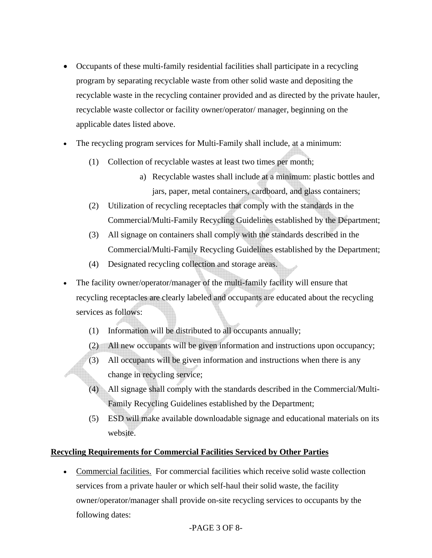- Occupants of these multi-family residential facilities shall participate in a recycling program by separating recyclable waste from other solid waste and depositing the recyclable waste in the recycling container provided and as directed by the private hauler, recyclable waste collector or facility owner/operator/ manager, beginning on the applicable dates listed above.
- The recycling program services for Multi-Family shall include, at a minimum:
	- (1) Collection of recyclable wastes at least two times per month;
		- a) Recyclable wastes shall include at a minimum: plastic bottles and jars, paper, metal containers, cardboard, and glass containers;
	- (2) Utilization of recycling receptacles that comply with the standards in the Commercial/Multi-Family Recycling Guidelines established by the Department;
	- (3) All signage on containers shall comply with the standards described in the Commercial/Multi-Family Recycling Guidelines established by the Department;
	- (4) Designated recycling collection and storage areas.
- The facility owner/operator/manager of the multi-family facility will ensure that recycling receptacles are clearly labeled and occupants are educated about the recycling services as follows:
	- (1) Information will be distributed to all occupants annually;
	- (2) All new occupants will be given information and instructions upon occupancy;
	- (3) All occupants will be given information and instructions when there is any change in recycling service;
	- (4) All signage shall comply with the standards described in the Commercial/Multi-Family Recycling Guidelines established by the Department;
	- (5) ESD will make available downloadable signage and educational materials on its website.

#### **Recycling Requirements for Commercial Facilities Serviced by Other Parties**

• Commercial facilities. For commercial facilities which receive solid waste collection services from a private hauler or which self-haul their solid waste, the facility owner/operator/manager shall provide on-site recycling services to occupants by the following dates:

#### -PAGE 3 OF 8-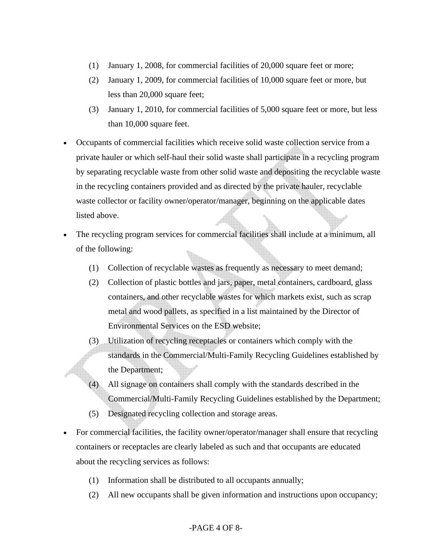- (1) January 1, 2008, for commercial facilities of 20,000 square feet or more;
- (2) January 1, 2009, for commercial facilities of 10,000 square feet or more, but less than 20,000 square feet;
- (3) January 1, 2010, for commercial facilities of 5,000 square feet or more, but less than 10,000 square feet.
- Occupants of commercial facilities which receive solid waste collection service from a private hauler or which self-haul their solid waste shall participate in a recycling program by separating recyclable waste from other solid waste and depositing the recyclable waste in the recycling containers provided and as directed by the private hauler, recyclable waste collector or facility owner/operator/manager, beginning on the applicable dates listed above.
- The recycling program services for commercial facilities shall include at a minimum, all of the following:
	- (1) Collection of recyclable wastes as frequently as necessary to meet demand;
	- (2) Collection of plastic bottles and jars, paper, metal containers, cardboard, glass containers, and other recyclable wastes for which markets exist, such as scrap metal and wood pallets, as specified in a list maintained by the Director of Environmental Services on the ESD website;
	- (3) Utilization of recycling receptacles or containers which comply with the standards in the Commercial/Multi-Family Recycling Guidelines established by the Department;
	- (4) All signage on containers shall comply with the standards described in the Commercial/Multi-Family Recycling Guidelines established by the Department;
	- (5) Designated recycling collection and storage areas.
- For commercial facilities, the facility owner/operator/manager shall ensure that recycling containers or receptacles are clearly labeled as such and that occupants are educated about the recycling services as follows:
	- (1) Information shall be distributed to all occupants annually;
	- (2) All new occupants shall be given information and instructions upon occupancy;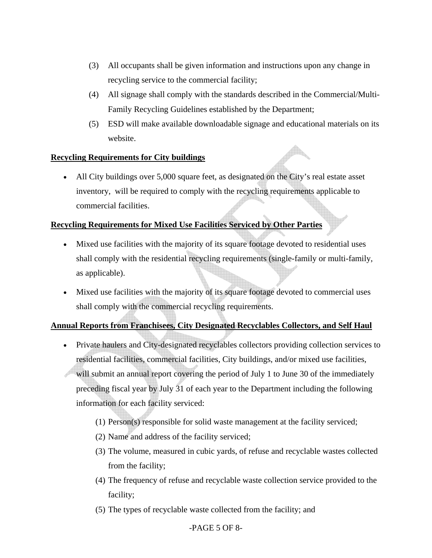- (3) All occupants shall be given information and instructions upon any change in recycling service to the commercial facility;
- (4) All signage shall comply with the standards described in the Commercial/Multi-Family Recycling Guidelines established by the Department;
- (5) ESD will make available downloadable signage and educational materials on its website.

 $\mathbb{A}$ 

#### **Recycling Requirements for City buildings**

• All City buildings over 5,000 square feet, as designated on the City's real estate asset inventory, will be required to comply with the recycling requirements applicable to commercial facilities.

#### **Recycling Requirements for Mixed Use Facilities Serviced by Other Parties**

- Mixed use facilities with the majority of its square footage devoted to residential uses shall comply with the residential recycling requirements (single-family or multi-family, as applicable).
- Mixed use facilities with the majority of its square footage devoted to commercial uses shall comply with the commercial recycling requirements.

#### **Annual Reports from Franchisees, City Designated Recyclables Collectors, and Self Haul**

- Private haulers and City-designated recyclables collectors providing collection services to residential facilities, commercial facilities, City buildings, and/or mixed use facilities, will submit an annual report covering the period of July 1 to June 30 of the immediately preceding fiscal year by July 31 of each year to the Department including the following information for each facility serviced:
	- (1) Person(s) responsible for solid waste management at the facility serviced;
	- (2) Name and address of the facility serviced;
	- (3) The volume, measured in cubic yards, of refuse and recyclable wastes collected from the facility;
	- (4) The frequency of refuse and recyclable waste collection service provided to the facility;
	- (5) The types of recyclable waste collected from the facility; and

#### -PAGE 5 OF 8-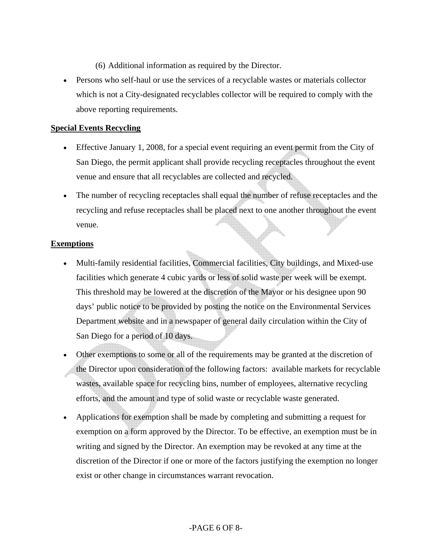- (6) Additional information as required by the Director.
- Persons who self-haul or use the services of a recyclable wastes or materials collector which is not a City-designated recyclables collector will be required to comply with the above reporting requirements.

#### **Special Events Recycling**

- Effective January 1, 2008, for a special event requiring an event permit from the City of San Diego, the permit applicant shall provide recycling receptacles throughout the event venue and ensure that all recyclables are collected and recycled.
- The number of recycling receptacles shall equal the number of refuse receptacles and the recycling and refuse receptacles shall be placed next to one another throughout the event venue.

#### **Exemptions**

- Multi-family residential facilities, Commercial facilities, City buildings, and Mixed-use facilities which generate 4 cubic yards or less of solid waste per week will be exempt. This threshold may be lowered at the discretion of the Mayor or his designee upon 90 days' public notice to be provided by posting the notice on the Environmental Services Department website and in a newspaper of general daily circulation within the City of San Diego for a period of 10 days.
- Other exemptions to some or all of the requirements may be granted at the discretion of the Director upon consideration of the following factors: available markets for recyclable wastes, available space for recycling bins, number of employees, alternative recycling efforts, and the amount and type of solid waste or recyclable waste generated.
- Applications for exemption shall be made by completing and submitting a request for exemption on a form approved by the Director. To be effective, an exemption must be in writing and signed by the Director. An exemption may be revoked at any time at the discretion of the Director if one or more of the factors justifying the exemption no longer exist or other change in circumstances warrant revocation.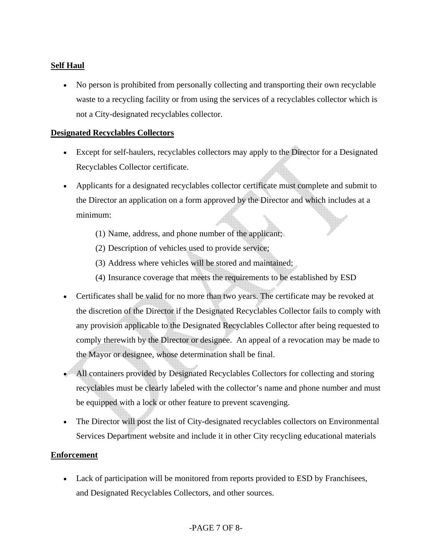#### **Self Haul**

• No person is prohibited from personally collecting and transporting their own recyclable waste to a recycling facility or from using the services of a recyclables collector which is not a City-designated recyclables collector.

#### **Designated Recyclables Collectors**

- Except for self-haulers, recyclables collectors may apply to the Director for a Designated Recyclables Collector certificate.
- Applicants for a designated recyclables collector certificate must complete and submit to the Director an application on a form approved by the Director and which includes at a minimum:
	- (1) Name, address, and phone number of the applicant;
	- (2) Description of vehicles used to provide service;
	- (3) Address where vehicles will be stored and maintained;
	- (4) Insurance coverage that meets the requirements to be established by ESD
- Certificates shall be valid for no more than two years. The certificate may be revoked at the discretion of the Director if the Designated Recyclables Collector fails to comply with any provision applicable to the Designated Recyclables Collector after being requested to comply therewith by the Director or designee. An appeal of a revocation may be made to the Mayor or designee, whose determination shall be final.
- All containers provided by Designated Recyclables Collectors for collecting and storing recyclables must be clearly labeled with the collector's name and phone number and must be equipped with a lock or other feature to prevent scavenging.
- The Director will post the list of City-designated recyclables collectors on Environmental Services Department website and include it in other City recycling educational materials

#### **Enforcement**

• Lack of participation will be monitored from reports provided to ESD by Franchisees, and Designated Recyclables Collectors, and other sources.

#### -PAGE 7 OF 8-